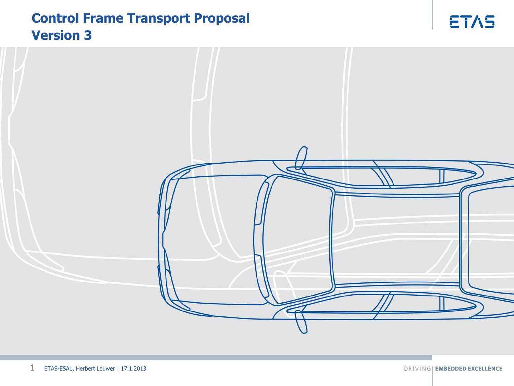# **Control Frame Transport Proposal Version 3**



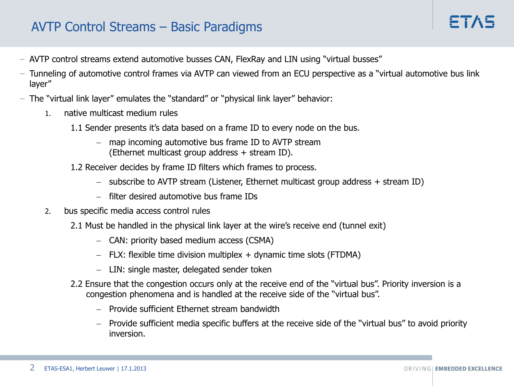# AVTP Control Streams – Basic Paradigms

- − AVTP control streams extend automotive busses CAN, FlexRay and LIN using "virtual busses"
- − Tunneling of automotive control frames via AVTP can viewed from an ECU perspective as a "virtual automotive bus link layer"
- − The "virtual link layer" emulates the "standard" or "physical link layer" behavior:
	- 1. native multicast medium rules
		- 1.1 Sender presents it's data based on a frame ID to every node on the bus.
			- map incoming automotive bus frame ID to AVTP stream (Ethernet multicast group address + stream ID).
		- 1.2 Receiver decides by frame ID filters which frames to process.
			- $-$  subscribe to AVTP stream (Listener, Ethernet multicast group address  $+$  stream ID)
			- filter desired automotive bus frame IDs
	- 2. bus specific media access control rules
		- 2.1 Must be handled in the physical link layer at the wire's receive end (tunnel exit)
			- CAN: priority based medium access (CSMA)
			- $-$  FLX: flexible time division multiplex  $+$  dynamic time slots (FTDMA)
			- $-$  LIN: single master, delegated sender token
		- 2.2 Ensure that the congestion occurs only at the receive end of the "virtual bus". Priority inversion is a congestion phenomena and is handled at the receive side of the "virtual bus".
			- Provide sufficient Ethernet stream bandwidth
			- Provide sufficient media specific buffers at the receive side of the "virtual bus" to avoid priority inversion.

 $F^T \wedge F$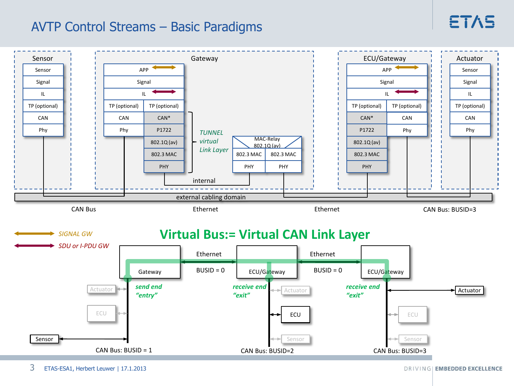# ETAS

# AVTP Control Streams – Basic Paradigms

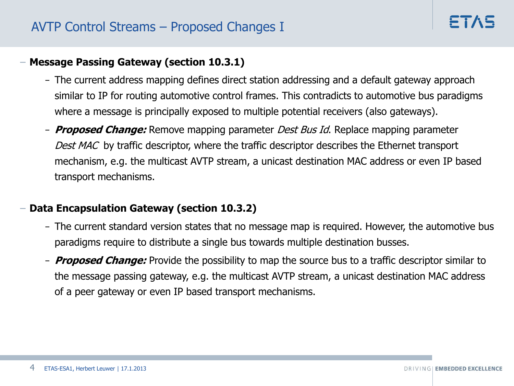## − **Message Passing Gateway (section 10.3.1)**

- − The current address mapping defines direct station addressing and a default gateway approach similar to IP for routing automotive control frames. This contradicts to automotive bus paradigms where a message is principally exposed to multiple potential receivers (also gateways).
- − **Proposed Change:** Remove mapping parameter Dest Bus Id. Replace mapping parameter Dest MAC by traffic descriptor, where the traffic descriptor describes the Ethernet transport mechanism, e.g. the multicast AVTP stream, a unicast destination MAC address or even IP based transport mechanisms.

## − **Data Encapsulation Gateway (section 10.3.2)**

- − The current standard version states that no message map is required. However, the automotive bus paradigms require to distribute a single bus towards multiple destination busses.
- − **Proposed Change:** Provide the possibility to map the source bus to a traffic descriptor similar to the message passing gateway, e.g. the multicast AVTP stream, a unicast destination MAC address of a peer gateway or even IP based transport mechanisms.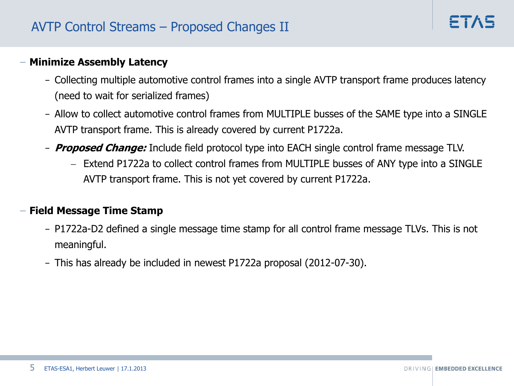#### − **Minimize Assembly Latency**

- − Collecting multiple automotive control frames into a single AVTP transport frame produces latency (need to wait for serialized frames)
- − Allow to collect automotive control frames from MULTIPLE busses of the SAME type into a SINGLE AVTP transport frame. This is already covered by current P1722a.
- − **Proposed Change:** Include field protocol type into EACH single control frame message TLV.
	- Extend P1722a to collect control frames from MULTIPLE busses of ANY type into a SINGLE AVTP transport frame. This is not yet covered by current P1722a.

#### − **Field Message Time Stamp**

- − P1722a-D2 defined a single message time stamp for all control frame message TLVs. This is not meaningful.
- − This has already be included in newest P1722a proposal (2012-07-30).

FTA-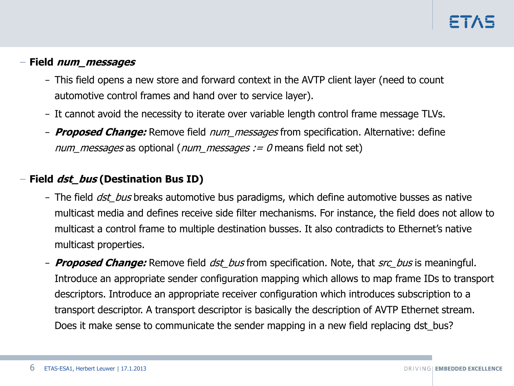## − **Field num\_messages**

- − This field opens a new store and forward context in the AVTP client layer (need to count automotive control frames and hand over to service layer).
- − It cannot avoid the necessity to iterate over variable length control frame message TLVs.
- − **Proposed Change:** Remove field num\_messages from specification. Alternative: define num messages as optional (num messages  $:= 0$  means field not set)

## − **Field dst\_bus (Destination Bus ID)**

- − The field *dst bus* breaks automotive bus paradigms, which define automotive busses as native multicast media and defines receive side filter mechanisms. For instance, the field does not allow to multicast a control frame to multiple destination busses. It also contradicts to Ethernet's native multicast properties.
- − **Proposed Change:** Remove field dst\_bus from specification. Note, that src\_bus is meaningful. Introduce an appropriate sender configuration mapping which allows to map frame IDs to transport descriptors. Introduce an appropriate receiver configuration which introduces subscription to a transport descriptor. A transport descriptor is basically the description of AVTP Ethernet stream. Does it make sense to communicate the sender mapping in a new field replacing dst\_bus?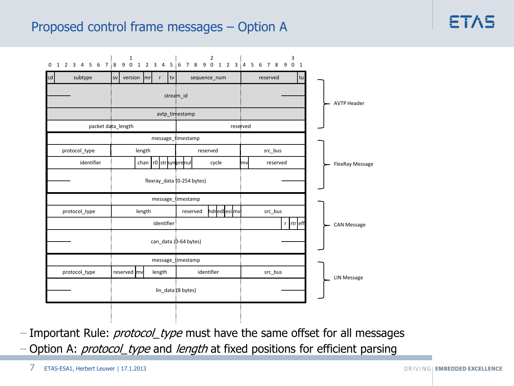## Proposed control frame messages – Option A

|    |  |  |  |               |                    |  |                       |                            | $\mathbf 1$ |        |  |              |    |                           |                   |  | $\overline{2}$ |              |             |  | 0 1 2 3 4 5 6 7 8 9 0 1 2 3 4 5 6 7 8 9 0 1 2 3 4 5 6 7 8 9 0 1 |          |  |          |  | 3          |    |  |  |  |                    |  |                    |                 |  |  |  |  |  |  |  |  |  |  |  |  |  |  |  |  |  |  |  |  |  |                    |  |
|----|--|--|--|---------------|--------------------|--|-----------------------|----------------------------|-------------|--------|--|--------------|----|---------------------------|-------------------|--|----------------|--------------|-------------|--|-----------------------------------------------------------------|----------|--|----------|--|------------|----|--|--|--|--------------------|--|--------------------|-----------------|--|--|--|--|--|--|--|--|--|--|--|--|--|--|--|--|--|--|--|--|--|--------------------|--|
| cd |  |  |  | subtype       |                    |  | <b>SV</b>             |                            | version mr  |        |  | $\mathsf{r}$ | tv |                           |                   |  |                | sequence_num |             |  |                                                                 | reserved |  |          |  |            | tu |  |  |  |                    |  |                    |                 |  |  |  |  |  |  |  |  |  |  |  |  |  |  |  |  |  |  |  |  |  |                    |  |
|    |  |  |  |               |                    |  | stream_id             |                            |             |        |  |              |    |                           |                   |  |                |              |             |  |                                                                 |          |  |          |  |            |    |  |  |  |                    |  |                    |                 |  |  |  |  |  |  |  |  |  |  |  |  |  |  |  |  |  |  |  |  |  | <b>AVTP Header</b> |  |
|    |  |  |  |               |                    |  |                       |                            |             |        |  |              |    |                           | avtp_timestamp    |  |                |              |             |  |                                                                 |          |  |          |  |            |    |  |  |  |                    |  |                    |                 |  |  |  |  |  |  |  |  |  |  |  |  |  |  |  |  |  |  |  |  |  |                    |  |
|    |  |  |  |               | packet data_length |  |                       |                            |             |        |  |              |    |                           |                   |  |                |              | reserved    |  |                                                                 |          |  |          |  |            |    |  |  |  |                    |  |                    |                 |  |  |  |  |  |  |  |  |  |  |  |  |  |  |  |  |  |  |  |  |  |                    |  |
|    |  |  |  |               |                    |  |                       |                            |             |        |  |              |    |                           | message_timestamp |  |                |              |             |  |                                                                 |          |  |          |  |            |    |  |  |  |                    |  |                    |                 |  |  |  |  |  |  |  |  |  |  |  |  |  |  |  |  |  |  |  |  |  |                    |  |
|    |  |  |  | protocol_type |                    |  |                       |                            |             | length |  |              |    |                           |                   |  | reserved       |              |             |  |                                                                 |          |  | src_bus  |  |            |    |  |  |  |                    |  |                    |                 |  |  |  |  |  |  |  |  |  |  |  |  |  |  |  |  |  |  |  |  |  |                    |  |
|    |  |  |  |               | identifier         |  |                       |                            |             |        |  |              |    | chan   r0   str synprenul |                   |  |                | cycle        |             |  | lmvl                                                            |          |  | reserved |  |            |    |  |  |  |                    |  |                    | FlexRay Message |  |  |  |  |  |  |  |  |  |  |  |  |  |  |  |  |  |  |  |  |  |                    |  |
|    |  |  |  |               |                    |  |                       | flexray_data (0-254 bytes) |             |        |  |              |    |                           |                   |  |                |              |             |  |                                                                 |          |  |          |  |            |    |  |  |  |                    |  |                    |                 |  |  |  |  |  |  |  |  |  |  |  |  |  |  |  |  |  |  |  |  |  |                    |  |
|    |  |  |  |               |                    |  |                       |                            |             |        |  |              |    |                           | message_timestamp |  |                |              |             |  |                                                                 |          |  |          |  |            |    |  |  |  |                    |  |                    |                 |  |  |  |  |  |  |  |  |  |  |  |  |  |  |  |  |  |  |  |  |  |                    |  |
|    |  |  |  | protocol_type |                    |  |                       |                            |             | length |  |              |    |                           | reserved          |  |                |              | hdredlesimv |  |                                                                 |          |  | src_bus  |  |            |    |  |  |  |                    |  |                    |                 |  |  |  |  |  |  |  |  |  |  |  |  |  |  |  |  |  |  |  |  |  |                    |  |
|    |  |  |  |               |                    |  |                       |                            |             |        |  | identifier   |    |                           |                   |  |                |              |             |  |                                                                 |          |  |          |  | r  rtr eff |    |  |  |  |                    |  | <b>CAN Message</b> |                 |  |  |  |  |  |  |  |  |  |  |  |  |  |  |  |  |  |  |  |  |  |                    |  |
|    |  |  |  |               |                    |  | can_data (0-64 bytes) |                            |             |        |  |              |    |                           |                   |  |                |              |             |  |                                                                 |          |  |          |  |            |    |  |  |  |                    |  |                    |                 |  |  |  |  |  |  |  |  |  |  |  |  |  |  |  |  |  |  |  |  |  |                    |  |
|    |  |  |  |               |                    |  |                       |                            |             |        |  |              |    |                           | message_timestamp |  |                |              |             |  |                                                                 |          |  |          |  |            |    |  |  |  |                    |  |                    |                 |  |  |  |  |  |  |  |  |  |  |  |  |  |  |  |  |  |  |  |  |  |                    |  |
|    |  |  |  | protocol_type |                    |  |                       |                            | reserved mv |        |  | length       |    |                           |                   |  | identifier     |              |             |  |                                                                 |          |  | src_bus  |  |            |    |  |  |  |                    |  |                    |                 |  |  |  |  |  |  |  |  |  |  |  |  |  |  |  |  |  |  |  |  |  |                    |  |
|    |  |  |  |               |                    |  | lin_data (8 bytes)    |                            |             |        |  |              |    |                           |                   |  |                |              |             |  |                                                                 |          |  |          |  |            |    |  |  |  | <b>LIN Message</b> |  |                    |                 |  |  |  |  |  |  |  |  |  |  |  |  |  |  |  |  |  |  |  |  |  |                    |  |
|    |  |  |  |               |                    |  |                       |                            |             |        |  |              |    |                           |                   |  |                |              |             |  |                                                                 |          |  |          |  |            |    |  |  |  |                    |  |                    |                 |  |  |  |  |  |  |  |  |  |  |  |  |  |  |  |  |  |  |  |  |  |                    |  |

− Important Rule: *protocol\_type* must have the same offset for all messages − Option A: *protocol\_type* and *length* at fixed positions for efficient parsing

7 ETAS-ESA1, Herbert Leuwer | 17.1.2013

FTA5